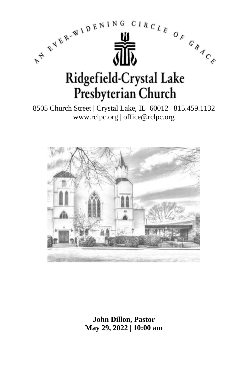

8505 Church Street | Crystal Lake, IL 60012 | 815.459.1132 www.rclpc.org | office@rclpc.org



**John Dillon, Pastor May 29, 2022 | 10:00 am**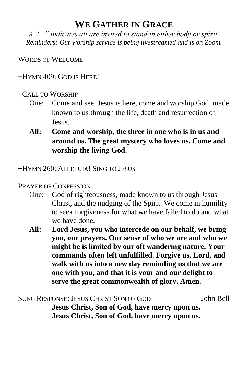# **WE GATHER IN GRACE**

*A "+" indicates all are invited to stand in either body or spirit. Reminders: Our worship service is being livestreamed and is on Zoom.*

WORDS OF WELCOME

 $+HYMN$  409; GOD IS HERE!

#### +CALL TO WORSHIP

- One: Come and see, Jesus is here, come and worship God, made known to us through the life, death and resurrection of Jesus.
- **All: Come and worship, the three in one who is in us and around us. The great mystery who loves us. Come and worship the living God.**

+HYMN 260: ALLELUIA! SING TO JESUS

### PRAYER OF CONFESSION

- One: God of righteousness, made known to us through Jesus Christ, and the nudging of the Spirit. We come in humility to seek forgiveness for what we have failed to do and what we have done.
- **All: Lord Jesus, you who intercede on our behalf, we bring you, our prayers. Our sense of who we are and who we might be is limited by our oft wandering nature. Your commands often left unfulfilled. Forgive us, Lord, and walk with us into a new day reminding us that we are one with you, and that it is your and our delight to serve the great commonwealth of glory. Amen.**

SUNG RESPONSE: JESUS CHRIST SON OF GOD John Bell **Jesus Christ, Son of God, have mercy upon us. Jesus Christ, Son of God, have mercy upon us.**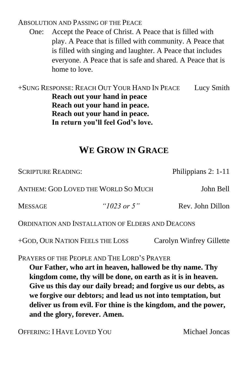ABSOLUTION AND PASSING OF THE PEACE

One: Accept the Peace of Christ. A Peace that is filled with play. A Peace that is filled with community. A Peace that is filled with singing and laughter. A Peace that includes everyone. A Peace that is safe and shared. A Peace that is home to love.

+SUNG RESPONSE: REACH OUT YOUR HAND IN PEACE Lucy Smith **Reach out your hand in peace Reach out your hand in peace. Reach out your hand in peace. In return you'll feel God's love.**

# **WE GROW IN GRACE**

| <b>SCRIPTURE READING:</b>                         |                | Philippians 2: 1-11 |
|---------------------------------------------------|----------------|---------------------|
| ANTHEM: GOD LOVED THE WORLD SO MUCH               |                | John Bell           |
| <b>MESSAGE</b>                                    | " $1023$ or 5" | Rev. John Dillon    |
| ORDINATION AND INSTALLATION OF ELDERS AND DEACONS |                |                     |

+GOD, OUR NATION FEELS THE LOSS Carolyn Winfrey Gillette

PRAYERS OF THE PEOPLE AND THE LORD'S PRAYER

**Our Father, who art in heaven, hallowed be thy name. Thy kingdom come, thy will be done, on earth as it is in heaven. Give us this day our daily bread; and forgive us our debts, as we forgive our debtors; and lead us not into temptation, but deliver us from evil. For thine is the kingdom, and the power, and the glory, forever. Amen.**

OFFERING: I HAVE LOVED YOU Michael Joncas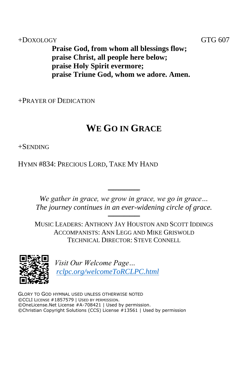+DOXOLOGY GTG 607

**Praise God, from whom all blessings flow; praise Christ, all people here below; praise Holy Spirit evermore; praise Triune God, whom we adore. Amen.**

+PRAYER OF DEDICATION

# **WE GO IN GRACE**

+SENDING

HYMN #834: PRECIOUS LORD, TAKE MY HAND

*We gather in grace, we grow in grace, we go in grace… The journey continues in an ever-widening circle of grace.*

──────

────── MUSIC LEADERS: ANTHONY JAY HOUSTON AND SCOTT IDDINGS ACCOMPANISTS: ANN LEGG AND MIKE GRISWOLD TECHNICAL DIRECTOR: STEVE CONNELL



*Visit Our Welcome Page… [rclpc.org/welcomeToRCLPC.html](http://rclpc.org/welcomeToRCLPC.html)*

GLORY TO GOD HYMNAL USED UNLESS OTHERWISE NOTED ©CCLI LICENSE #1857579 | USED BY PERMISSION. ©OneLicense.Net License #A-708421 | Used by permission. ©Christian Copyright Solutions (CCS) License #13561 | Used by permission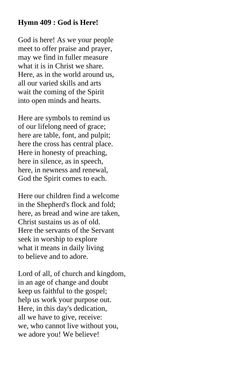### **Hymn 409 : God is Here!**

God is here! As we your people meet to offer praise and prayer, may we find in fuller measure what it is in Christ we share. Here, as in the world around us, all our varied skills and arts wait the coming of the Spirit into open minds and hearts.

Here are symbols to remind us of our lifelong need of grace; here are table, font, and pulpit; here the cross has central place. Here in honesty of preaching, here in silence, as in speech, here, in newness and renewal, God the Spirit comes to each.

Here our children find a welcome in the Shepherd's flock and fold; here, as bread and wine are taken, Christ sustains us as of old. Here the servants of the Servant seek in worship to explore what it means in daily living to believe and to adore.

Lord of all, of church and kingdom, in an age of change and doubt keep us faithful to the gospel; help us work your purpose out. Here, in this day's dedication, all we have to give, receive: we, who cannot live without you, we adore you! We believe!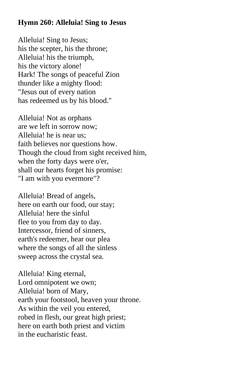### **Hymn 260: Alleluia! Sing to Jesus**

Alleluia! Sing to Jesus; his the scepter, his the throne; Alleluia! his the triumph, his the victory alone! Hark! The songs of peaceful Zion thunder like a mighty flood: "Jesus out of every nation has redeemed us by his blood."

Alleluia! Not as orphans are we left in sorrow now; Alleluia! he is near us; faith believes nor questions how. Though the cloud from sight received him, when the forty days were o'er, shall our hearts forget his promise: "I am with you evermore"?

Alleluia! Bread of angels, here on earth our food, our stay; Alleluia! here the sinful flee to you from day to day. Intercessor, friend of sinners, earth's redeemer, hear our plea where the songs of all the sinless sweep across the crystal sea.

Alleluia! King eternal, Lord omnipotent we own; Alleluia! born of Mary, earth your footstool, heaven your throne. As within the veil you entered, robed in flesh, our great high priest; here on earth both priest and victim in the eucharistic feast.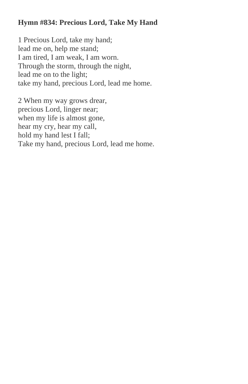## **Hymn #834: Precious Lord, Take My Hand**

1 Precious Lord, take my hand; lead me on, help me stand; I am tired, I am weak, I am worn. Through the storm, through the night, lead me on to the light; take my hand, precious Lord, lead me home.

2 When my way grows drear, precious Lord, linger near; when my life is almost gone, hear my cry, hear my call, hold my hand lest I fall; Take my hand, precious Lord, lead me home.